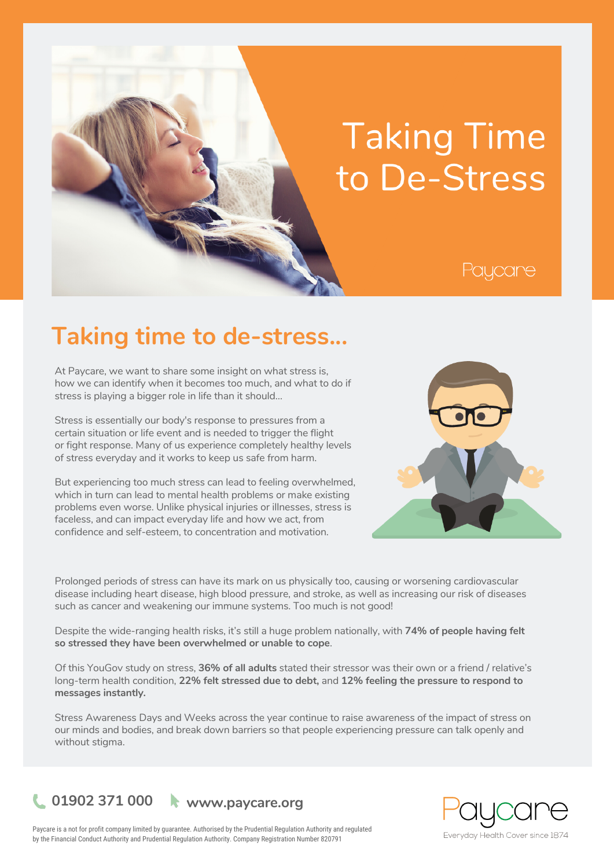# **Taking Time** to De-Stress

# Paycare

# **Taking time to de-stress...**

At Paycare, we want to share some insight on what stress is, how we can identify when it becomes too much, and what to do if stress is playing a bigger role in life than it should…

Stress is essentially our body's response to pressures from a certain situation or life event and is needed to trigger the flight or fight response. Many of us experience completely healthy levels of stress everyday and it works to keep us safe from harm.

But experiencing too much stress can lead to feeling overwhelmed, which in turn can lead to mental health problems or make existing problems even worse. Unlike physical injuries or illnesses, stress is faceless, and can impact everyday life and how we act, from confidence and self-esteem, to concentration and motivation.



Prolonged periods of stress can have its mark on us physically too, causing or worsening cardiovascular disease including heart disease, high blood pressure, and stroke, as well as increasing our risk of diseases such as cancer and weakening our immune systems. Too much is not good!

Despite the wide-ranging health risks, it's still a huge problem nationally, with **74% of people having felt so stressed they have been overwhelmed or unable to cope**.

Of this YouGov study on stress, **36% of all adults** stated their stressor was their own or a friend / relative's long-term health condition, **22% felt stressed due to debt,** and **12% feeling the pressure to respond to messages instantly.**

Stress Awareness Days and Weeks across the year continue to raise awareness of the impact of stress on our minds and bodies, and break down barriers so that people experiencing pressure can talk openly and without stigma.





Paycare is a not for profit company limited by guarantee. Authorised by the Prudential Regulation Authority and regulated by the Financial Conduct Authority and Prudential Regulation Authority. Company Registration Number 820791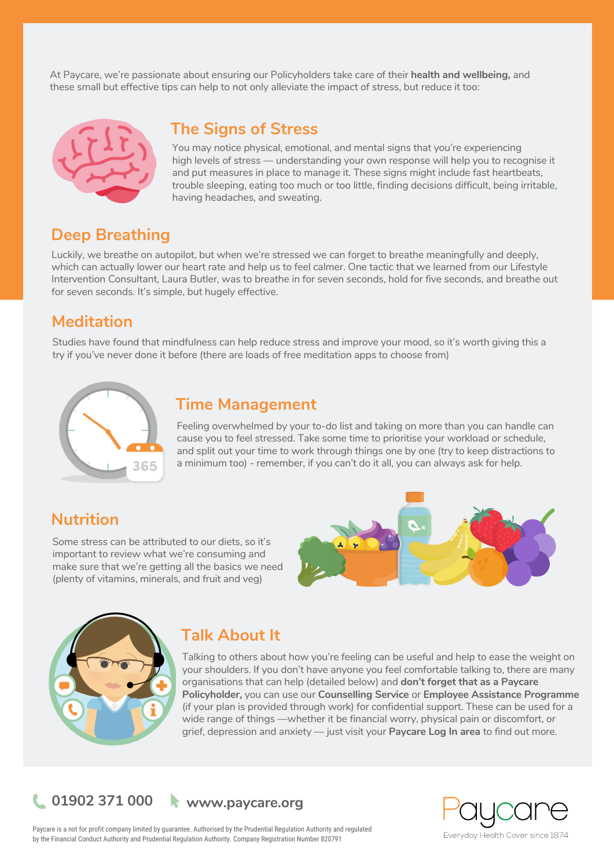At Paycare, we're passionate about ensuring our Policyholders take care of their **health and wellbeing,** and these small but effective tips can help to not only alleviate the impact of stress, but reduce it too:



# **The Signs of Stress**

You may notice physical, emotional, and mental signs that you're experiencing high levels of stress — understanding your own response will help you to recognise it and put measures in place to manage it. These signs might include fast heartbeats, trouble sleeping, eating too much or too little, finding decisions difficult, being irritable, having headaches, and sweating.

# **Deep Breathing**

Luckily, we breathe on autopilot, but when we're stressed we can forget to breathe meaningfully and deeply, which can actually lower our heart rate and help us to feel calmer. One tactic that we learned from our Lifestyle Intervention Consultant, Laura Butler, was to breathe in for seven seconds, hold for five seconds, and breathe out for seven seconds. It's simple, but hugely effective.

# **Meditation**

Studies have found that mindfulness can help reduce stress and improve your mood, so it's worth giving this a try if you've never done it before (there are loads of free meditation apps to choose from)



### **Time Management**

Feeling overwhelmed by your to-do list and taking on more than you can handle can cause you to feel stressed. Take some time to prioritise your workload or schedule, and split out your time to work through things one by one (try to keep distractions to a minimum too) - remember, if you can't do it all, you can always ask for help.

# **Nutrition**

Some stress can be attributed to our diets, so it's important to review what we're consuming and make sure that we're getting all the basics we need (plenty of vitamins, minerals, and fruit and veg)





# **Talk About It**

Talking to others about how you're feeling can be useful and help to ease the weight on your shoulders. If you don't have anyone you feel comfortable talking to, there are many organisations that can help (detailed below) and **don't forget that as a Paycare Policyholder,** you can use our **Counselling Service** or **Employee Assistance Programme** (if your plan is provided through work) for confidential support. These can be used for a wide range of things —whether it be financial worry, physical pain or discomfort, or grief, depression and anxiety — just visit your **Paycare Log In area** to find out more.

**01902 371 000 www.paycare.org**



Paycare is a not for profit company limited by guarantee. Authorised by the Prudential Regulation Authority and regulated by the Financial Conduct Authority and Prudential Regulation Authority. Company Registration Number 820791

Everyday Health Cover since 1874